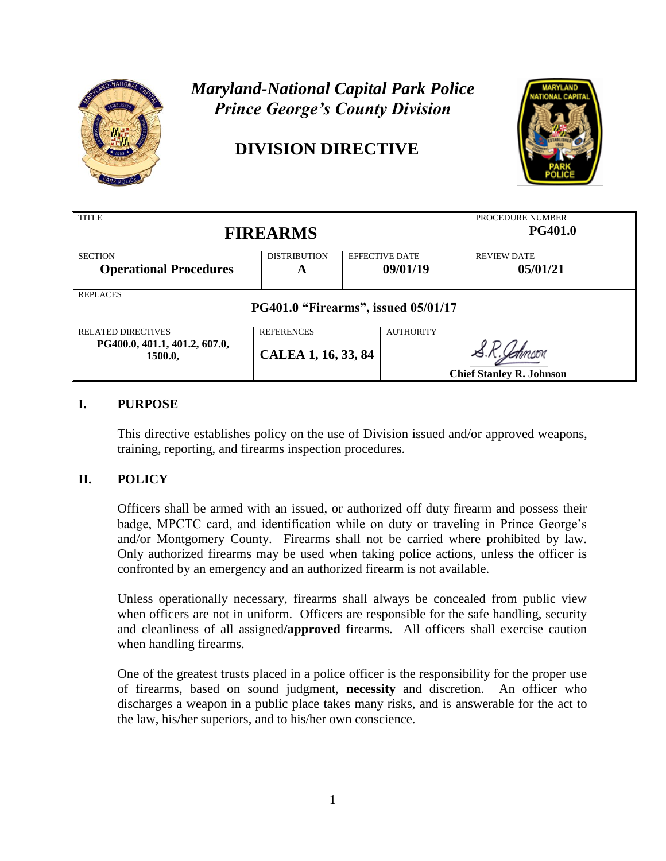

# *Maryland-National Capital Park Police Prince George's County Division*

# **DIVISION DIRECTIVE**



| <b>TITLE</b><br><b>FIREARMS</b>                        | PROCEDURE NUMBER<br><b>PG401.0</b> |  |                       |                                 |  |
|--------------------------------------------------------|------------------------------------|--|-----------------------|---------------------------------|--|
| <b>SECTION</b>                                         | <b>DISTRIBUTION</b>                |  | <b>EFFECTIVE DATE</b> | <b>REVIEW DATE</b>              |  |
| <b>Operational Procedures</b>                          | A                                  |  | 09/01/19              | 05/01/21                        |  |
| <b>REPLACES</b><br>PG401.0 "Firearms", issued 05/01/17 |                                    |  |                       |                                 |  |
| <b>RELATED DIRECTIVES</b>                              | <b>REFERENCES</b>                  |  | <b>AUTHORITY</b>      |                                 |  |
| PG400.0, 401.1, 401.2, 607.0,<br>1500.0,               | CALEA 1, 16, 33, 84                |  |                       | <b>Chief Stanley R. Johnson</b> |  |

# **I. PURPOSE**

This directive establishes policy on the use of Division issued and/or approved weapons, training, reporting, and firearms inspection procedures.

# **II. POLICY**

Officers shall be armed with an issued, or authorized off duty firearm and possess their badge, MPCTC card, and identification while on duty or traveling in Prince George's and/or Montgomery County. Firearms shall not be carried where prohibited by law. Only authorized firearms may be used when taking police actions, unless the officer is confronted by an emergency and an authorized firearm is not available.

Unless operationally necessary, firearms shall always be concealed from public view when officers are not in uniform. Officers are responsible for the safe handling, security and cleanliness of all assigned**/approved** firearms. All officers shall exercise caution when handling firearms.

One of the greatest trusts placed in a police officer is the responsibility for the proper use of firearms, based on sound judgment, **necessity** and discretion. An officer who discharges a weapon in a public place takes many risks, and is answerable for the act to the law, his/her superiors, and to his/her own conscience.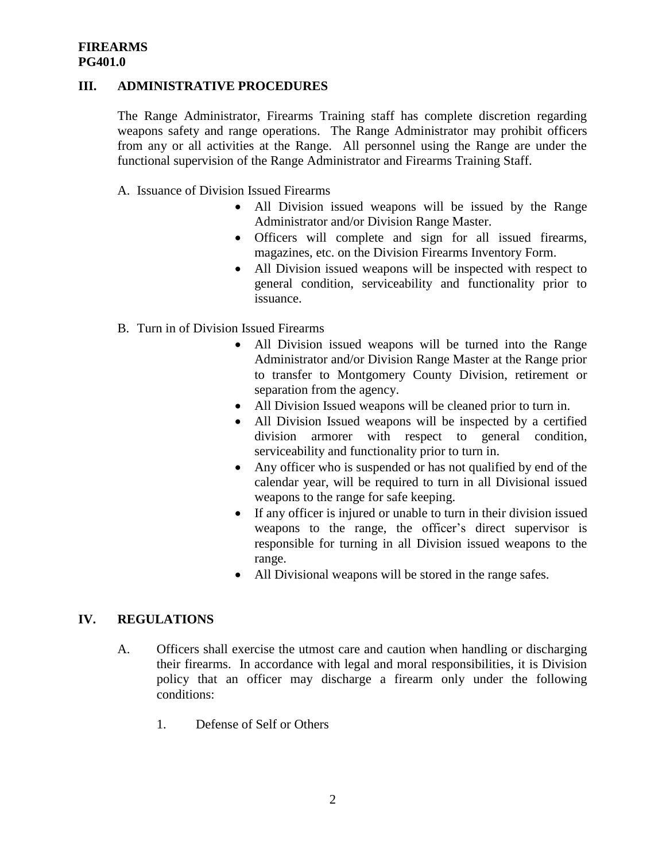## **III. ADMINISTRATIVE PROCEDURES**

The Range Administrator, Firearms Training staff has complete discretion regarding weapons safety and range operations. The Range Administrator may prohibit officers from any or all activities at the Range. All personnel using the Range are under the functional supervision of the Range Administrator and Firearms Training Staff.

- A. Issuance of Division Issued Firearms
	- All Division issued weapons will be issued by the Range Administrator and/or Division Range Master.
	- Officers will complete and sign for all issued firearms, magazines, etc. on the Division Firearms Inventory Form.
	- All Division issued weapons will be inspected with respect to general condition, serviceability and functionality prior to issuance.
- B. Turn in of Division Issued Firearms
	- All Division issued weapons will be turned into the Range Administrator and/or Division Range Master at the Range prior to transfer to Montgomery County Division, retirement or separation from the agency.
	- All Division Issued weapons will be cleaned prior to turn in.
	- All Division Issued weapons will be inspected by a certified division armorer with respect to general condition, serviceability and functionality prior to turn in.
	- Any officer who is suspended or has not qualified by end of the calendar year, will be required to turn in all Divisional issued weapons to the range for safe keeping.
	- If any officer is injured or unable to turn in their division issued weapons to the range, the officer's direct supervisor is responsible for turning in all Division issued weapons to the range.
	- All Divisional weapons will be stored in the range safes.

# **IV. REGULATIONS**

- A. Officers shall exercise the utmost care and caution when handling or discharging their firearms. In accordance with legal and moral responsibilities, it is Division policy that an officer may discharge a firearm only under the following conditions:
	- 1. Defense of Self or Others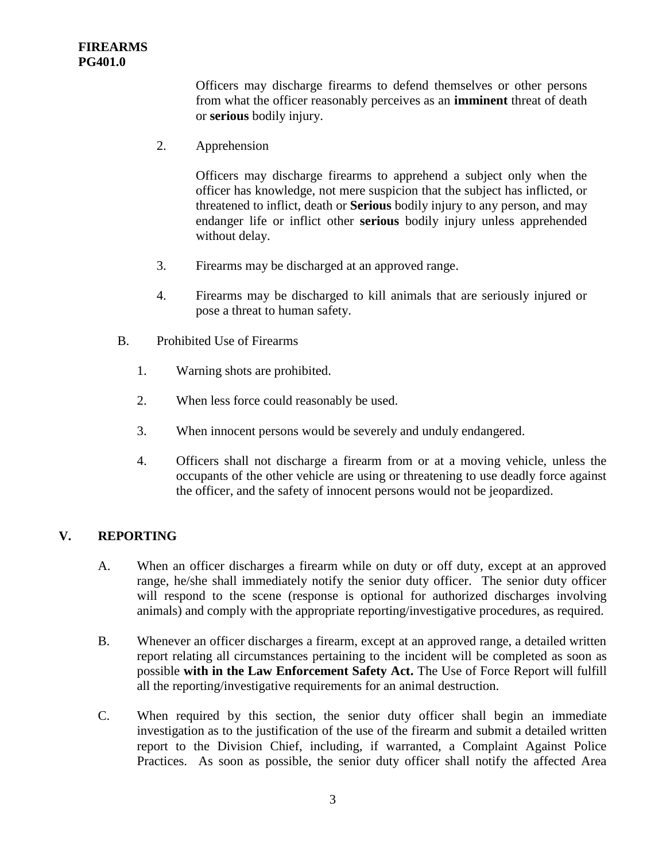Officers may discharge firearms to defend themselves or other persons from what the officer reasonably perceives as an **imminent** threat of death or **serious** bodily injury.

2. Apprehension

Officers may discharge firearms to apprehend a subject only when the officer has knowledge, not mere suspicion that the subject has inflicted, or threatened to inflict, death or **Serious** bodily injury to any person, and may endanger life or inflict other **serious** bodily injury unless apprehended without delay.

- 3. Firearms may be discharged at an approved range.
- 4. Firearms may be discharged to kill animals that are seriously injured or pose a threat to human safety.
- B. Prohibited Use of Firearms
	- 1. Warning shots are prohibited.
	- 2. When less force could reasonably be used.
	- 3. When innocent persons would be severely and unduly endangered.
	- 4. Officers shall not discharge a firearm from or at a moving vehicle, unless the occupants of the other vehicle are using or threatening to use deadly force against the officer, and the safety of innocent persons would not be jeopardized.

# **V. REPORTING**

- A. When an officer discharges a firearm while on duty or off duty, except at an approved range, he/she shall immediately notify the senior duty officer. The senior duty officer will respond to the scene (response is optional for authorized discharges involving animals) and comply with the appropriate reporting/investigative procedures, as required.
- B. Whenever an officer discharges a firearm, except at an approved range, a detailed written report relating all circumstances pertaining to the incident will be completed as soon as possible **with in the Law Enforcement Safety Act.** The Use of Force Report will fulfill all the reporting/investigative requirements for an animal destruction.
- C. When required by this section, the senior duty officer shall begin an immediate investigation as to the justification of the use of the firearm and submit a detailed written report to the Division Chief, including, if warranted, a Complaint Against Police Practices. As soon as possible, the senior duty officer shall notify the affected Area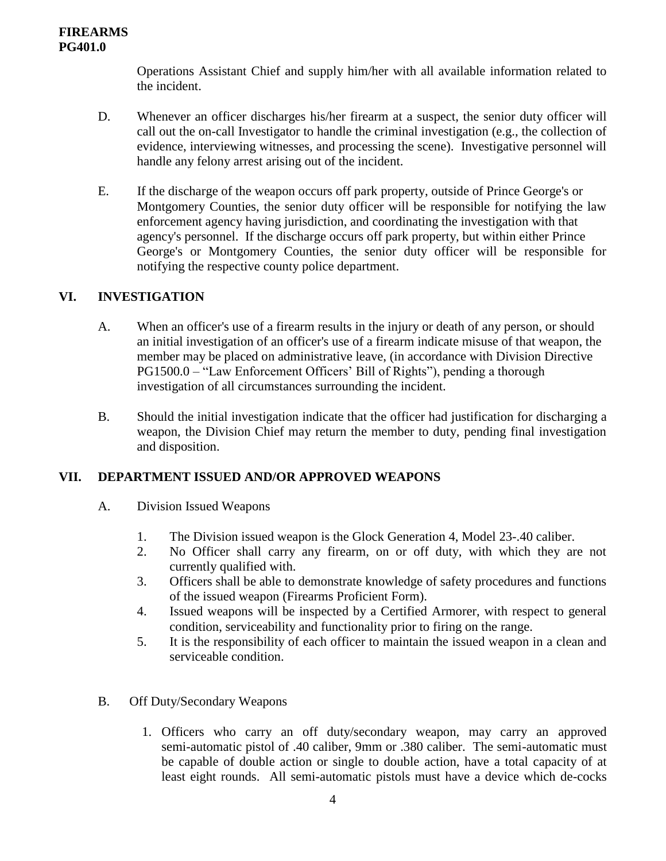Operations Assistant Chief and supply him/her with all available information related to the incident.

- D. Whenever an officer discharges his/her firearm at a suspect, the senior duty officer will call out the on-call Investigator to handle the criminal investigation (e.g., the collection of evidence, interviewing witnesses, and processing the scene). Investigative personnel will handle any felony arrest arising out of the incident.
- E. If the discharge of the weapon occurs off park property, outside of Prince George's or Montgomery Counties, the senior duty officer will be responsible for notifying the law enforcement agency having jurisdiction, and coordinating the investigation with that agency's personnel. If the discharge occurs off park property, but within either Prince George's or Montgomery Counties, the senior duty officer will be responsible for notifying the respective county police department.

## **VI. INVESTIGATION**

- A. When an officer's use of a firearm results in the injury or death of any person, or should an initial investigation of an officer's use of a firearm indicate misuse of that weapon, the member may be placed on administrative leave, (in accordance with Division Directive PG1500.0 – "Law Enforcement Officers' Bill of Rights"), pending a thorough investigation of all circumstances surrounding the incident.
- B. Should the initial investigation indicate that the officer had justification for discharging a weapon, the Division Chief may return the member to duty, pending final investigation and disposition.

#### **VII. DEPARTMENT ISSUED AND/OR APPROVED WEAPONS**

- A. Division Issued Weapons
	- 1. The Division issued weapon is the Glock Generation 4, Model 23-.40 caliber.
	- 2. No Officer shall carry any firearm, on or off duty, with which they are not currently qualified with.
	- 3. Officers shall be able to demonstrate knowledge of safety procedures and functions of the issued weapon (Firearms Proficient Form).
	- 4. Issued weapons will be inspected by a Certified Armorer, with respect to general condition, serviceability and functionality prior to firing on the range.
	- 5. It is the responsibility of each officer to maintain the issued weapon in a clean and serviceable condition.

#### B. Off Duty/Secondary Weapons

1. Officers who carry an off duty/secondary weapon, may carry an approved semi-automatic pistol of .40 caliber, 9mm or .380 caliber. The semi-automatic must be capable of double action or single to double action, have a total capacity of at least eight rounds. All semi-automatic pistols must have a device which de-cocks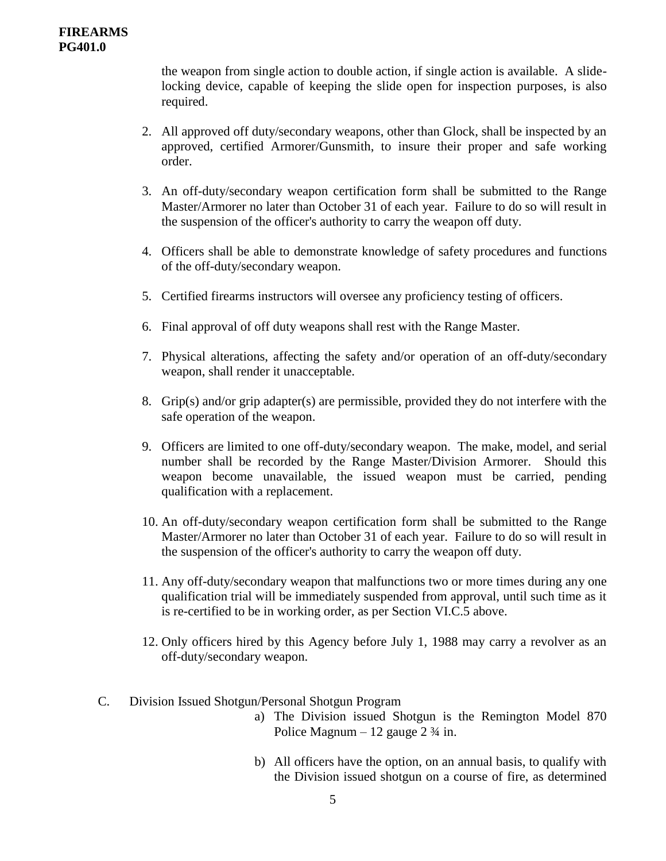the weapon from single action to double action, if single action is available. A slidelocking device, capable of keeping the slide open for inspection purposes, is also required.

- 2. All approved off duty/secondary weapons, other than Glock, shall be inspected by an approved, certified Armorer/Gunsmith, to insure their proper and safe working order.
- 3. An off-duty/secondary weapon certification form shall be submitted to the Range Master/Armorer no later than October 31 of each year. Failure to do so will result in the suspension of the officer's authority to carry the weapon off duty.
- 4. Officers shall be able to demonstrate knowledge of safety procedures and functions of the off-duty/secondary weapon.
- 5. Certified firearms instructors will oversee any proficiency testing of officers.
- 6. Final approval of off duty weapons shall rest with the Range Master.
- 7. Physical alterations, affecting the safety and/or operation of an off-duty/secondary weapon, shall render it unacceptable.
- 8. Grip(s) and/or grip adapter(s) are permissible, provided they do not interfere with the safe operation of the weapon.
- 9. Officers are limited to one off-duty/secondary weapon. The make, model, and serial number shall be recorded by the Range Master/Division Armorer. Should this weapon become unavailable, the issued weapon must be carried, pending qualification with a replacement.
- 10. An off-duty/secondary weapon certification form shall be submitted to the Range Master/Armorer no later than October 31 of each year. Failure to do so will result in the suspension of the officer's authority to carry the weapon off duty.
- 11. Any off-duty/secondary weapon that malfunctions two or more times during any one qualification trial will be immediately suspended from approval, until such time as it is re-certified to be in working order, as per Section VI.C.5 above.
- 12. Only officers hired by this Agency before July 1, 1988 may carry a revolver as an off-duty/secondary weapon.
- C. Division Issued Shotgun/Personal Shotgun Program
	- a) The Division issued Shotgun is the Remington Model 870 Police Magnum – 12 gauge  $2\frac{3}{4}$  in.
	- b) All officers have the option, on an annual basis, to qualify with the Division issued shotgun on a course of fire, as determined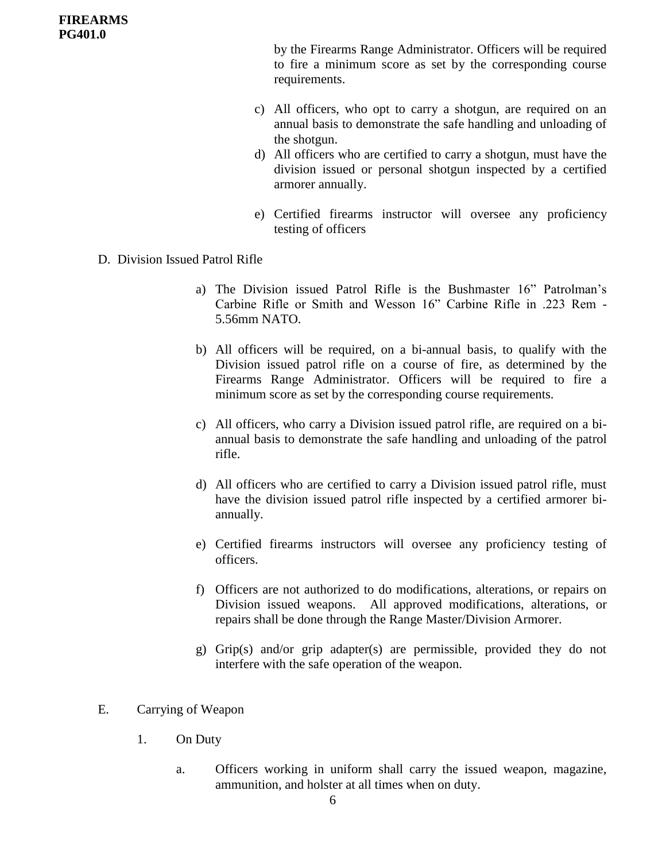by the Firearms Range Administrator. Officers will be required to fire a minimum score as set by the corresponding course requirements.

- c) All officers, who opt to carry a shotgun, are required on an annual basis to demonstrate the safe handling and unloading of the shotgun.
- d) All officers who are certified to carry a shotgun, must have the division issued or personal shotgun inspected by a certified armorer annually.
- e) Certified firearms instructor will oversee any proficiency testing of officers
- D. Division Issued Patrol Rifle
	- a) The Division issued Patrol Rifle is the Bushmaster 16" Patrolman's Carbine Rifle or Smith and Wesson 16" Carbine Rifle in .223 Rem - 5.56mm NATO.
	- b) All officers will be required, on a bi-annual basis, to qualify with the Division issued patrol rifle on a course of fire, as determined by the Firearms Range Administrator. Officers will be required to fire a minimum score as set by the corresponding course requirements.
	- c) All officers, who carry a Division issued patrol rifle, are required on a biannual basis to demonstrate the safe handling and unloading of the patrol rifle.
	- d) All officers who are certified to carry a Division issued patrol rifle, must have the division issued patrol rifle inspected by a certified armorer biannually.
	- e) Certified firearms instructors will oversee any proficiency testing of officers.
	- f) Officers are not authorized to do modifications, alterations, or repairs on Division issued weapons. All approved modifications, alterations, or repairs shall be done through the Range Master/Division Armorer.
	- g) Grip(s) and/or grip adapter(s) are permissible, provided they do not interfere with the safe operation of the weapon.

#### E. Carrying of Weapon

- 1. On Duty
	- a. Officers working in uniform shall carry the issued weapon, magazine, ammunition, and holster at all times when on duty.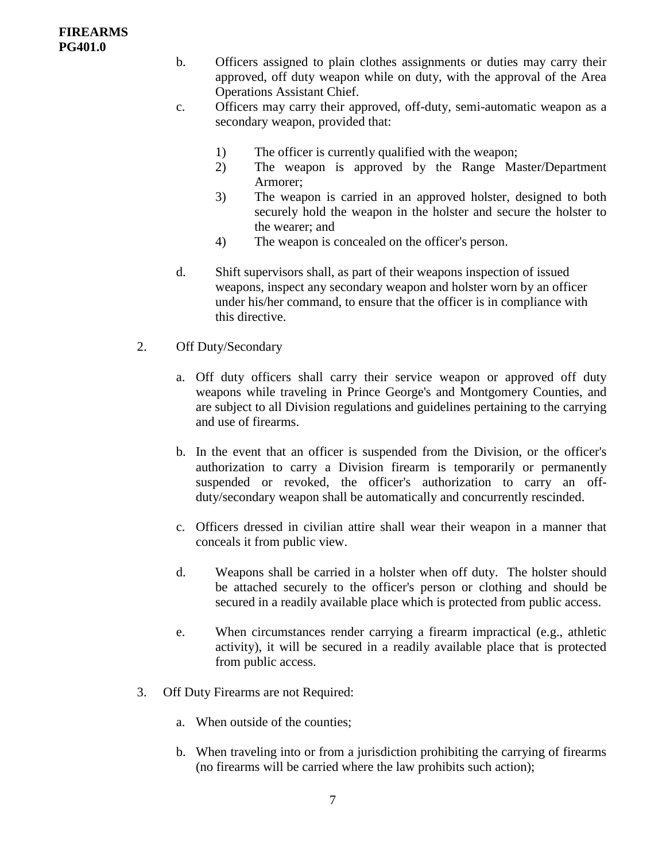- b. Officers assigned to plain clothes assignments or duties may carry their approved, off duty weapon while on duty, with the approval of the Area Operations Assistant Chief.
- c. Officers may carry their approved, off-duty, semi-automatic weapon as a secondary weapon, provided that:
	- 1) The officer is currently qualified with the weapon;
	- 2) The weapon is approved by the Range Master/Department Armorer;
	- 3) The weapon is carried in an approved holster, designed to both securely hold the weapon in the holster and secure the holster to the wearer; and
	- 4) The weapon is concealed on the officer's person.
- d. Shift supervisors shall, as part of their weapons inspection of issued weapons, inspect any secondary weapon and holster worn by an officer under his/her command, to ensure that the officer is in compliance with this directive.
- 2. Off Duty/Secondary
	- a. Off duty officers shall carry their service weapon or approved off duty weapons while traveling in Prince George's and Montgomery Counties, and are subject to all Division regulations and guidelines pertaining to the carrying and use of firearms.
	- b. In the event that an officer is suspended from the Division, or the officer's authorization to carry a Division firearm is temporarily or permanently suspended or revoked, the officer's authorization to carry an offduty/secondary weapon shall be automatically and concurrently rescinded.
	- c. Officers dressed in civilian attire shall wear their weapon in a manner that conceals it from public view.
	- d. Weapons shall be carried in a holster when off duty. The holster should be attached securely to the officer's person or clothing and should be secured in a readily available place which is protected from public access.
	- e. When circumstances render carrying a firearm impractical (e.g., athletic activity), it will be secured in a readily available place that is protected from public access.
- 3. Off Duty Firearms are not Required:
	- a. When outside of the counties;
	- b. When traveling into or from a jurisdiction prohibiting the carrying of firearms (no firearms will be carried where the law prohibits such action);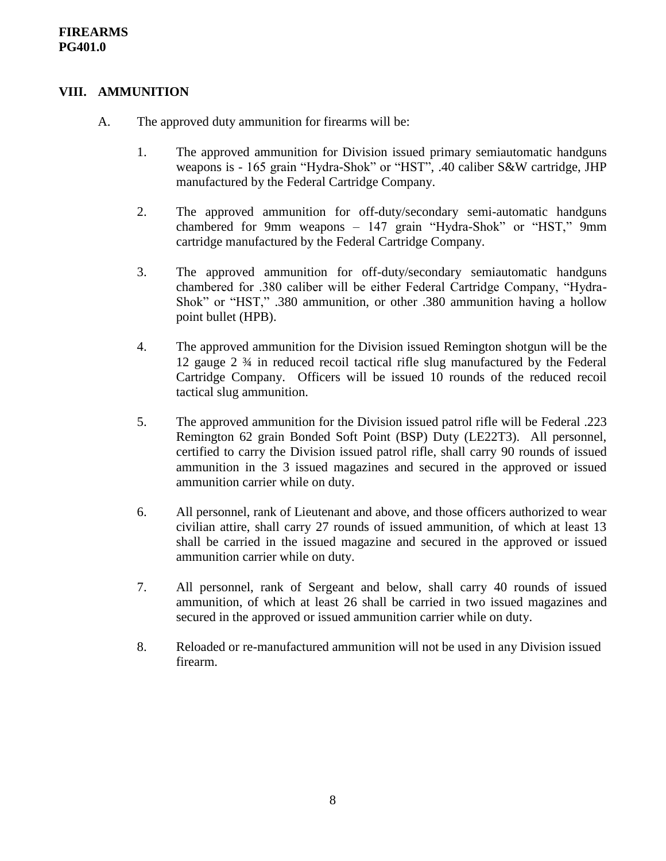# **VIII. AMMUNITION**

- A. The approved duty ammunition for firearms will be:
	- 1. The approved ammunition for Division issued primary semiautomatic handguns weapons is - 165 grain "Hydra-Shok" or "HST", .40 caliber S&W cartridge, JHP manufactured by the Federal Cartridge Company.
	- 2. The approved ammunition for off-duty/secondary semi-automatic handguns chambered for 9mm weapons – 147 grain "Hydra-Shok" or "HST," 9mm cartridge manufactured by the Federal Cartridge Company.
	- 3. The approved ammunition for off-duty/secondary semiautomatic handguns chambered for .380 caliber will be either Federal Cartridge Company, "Hydra-Shok" or "HST," .380 ammunition, or other .380 ammunition having a hollow point bullet (HPB).
	- 4. The approved ammunition for the Division issued Remington shotgun will be the 12 gauge 2 ¾ in reduced recoil tactical rifle slug manufactured by the Federal Cartridge Company. Officers will be issued 10 rounds of the reduced recoil tactical slug ammunition.
	- 5. The approved ammunition for the Division issued patrol rifle will be Federal .223 Remington 62 grain Bonded Soft Point (BSP) Duty (LE22T3). All personnel, certified to carry the Division issued patrol rifle, shall carry 90 rounds of issued ammunition in the 3 issued magazines and secured in the approved or issued ammunition carrier while on duty.
	- 6. All personnel, rank of Lieutenant and above, and those officers authorized to wear civilian attire, shall carry 27 rounds of issued ammunition, of which at least 13 shall be carried in the issued magazine and secured in the approved or issued ammunition carrier while on duty.
	- 7. All personnel, rank of Sergeant and below, shall carry 40 rounds of issued ammunition, of which at least 26 shall be carried in two issued magazines and secured in the approved or issued ammunition carrier while on duty.
	- 8. Reloaded or re-manufactured ammunition will not be used in any Division issued firearm.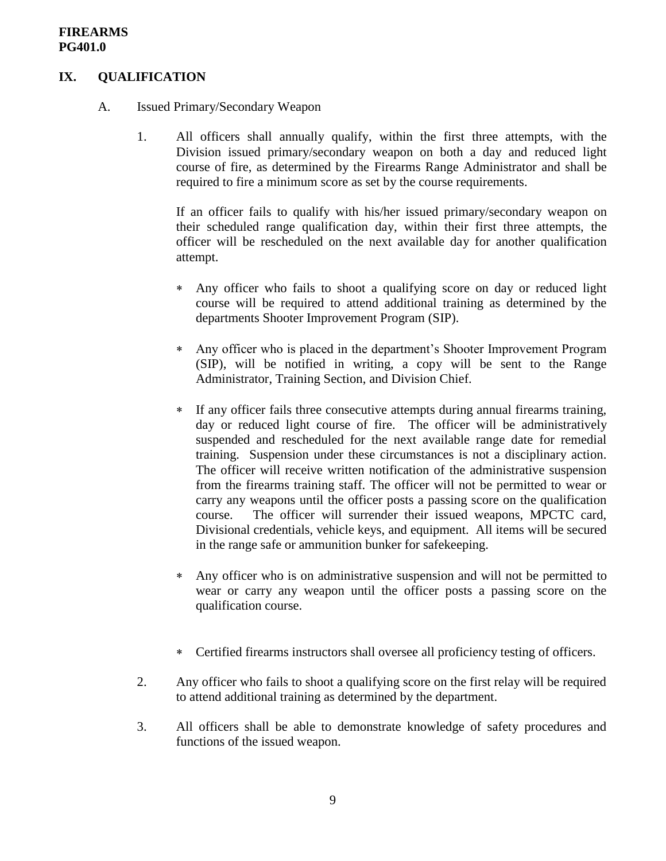# **IX. QUALIFICATION**

- A. Issued Primary/Secondary Weapon
	- 1. All officers shall annually qualify, within the first three attempts, with the Division issued primary/secondary weapon on both a day and reduced light course of fire, as determined by the Firearms Range Administrator and shall be required to fire a minimum score as set by the course requirements.

If an officer fails to qualify with his/her issued primary/secondary weapon on their scheduled range qualification day, within their first three attempts, the officer will be rescheduled on the next available day for another qualification attempt.

- Any officer who fails to shoot a qualifying score on day or reduced light course will be required to attend additional training as determined by the departments Shooter Improvement Program (SIP).
- Any officer who is placed in the department's Shooter Improvement Program (SIP), will be notified in writing, a copy will be sent to the Range Administrator, Training Section, and Division Chief.
- If any officer fails three consecutive attempts during annual firearms training, day or reduced light course of fire. The officer will be administratively suspended and rescheduled for the next available range date for remedial training. Suspension under these circumstances is not a disciplinary action. The officer will receive written notification of the administrative suspension from the firearms training staff. The officer will not be permitted to wear or carry any weapons until the officer posts a passing score on the qualification course. The officer will surrender their issued weapons, MPCTC card, Divisional credentials, vehicle keys, and equipment. All items will be secured in the range safe or ammunition bunker for safekeeping.
- Any officer who is on administrative suspension and will not be permitted to wear or carry any weapon until the officer posts a passing score on the qualification course.
- Certified firearms instructors shall oversee all proficiency testing of officers.
- 2. Any officer who fails to shoot a qualifying score on the first relay will be required to attend additional training as determined by the department.
- 3. All officers shall be able to demonstrate knowledge of safety procedures and functions of the issued weapon.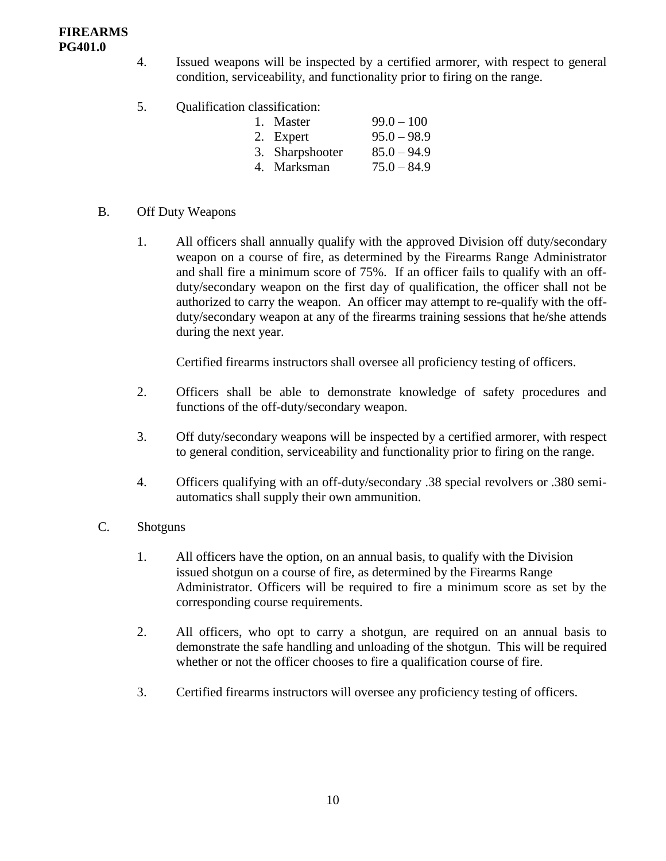- 4. Issued weapons will be inspected by a certified armorer, with respect to general condition, serviceability, and functionality prior to firing on the range.
- 5. Qualification classification:

| 1. Master       | $99.0 - 100$  |
|-----------------|---------------|
| 2. Expert       | $95.0 - 98.9$ |
| 3. Sharpshooter | $85.0 - 94.9$ |
| 4. Marksman     | $75.0 - 84.9$ |

- B. Off Duty Weapons
	- 1. All officers shall annually qualify with the approved Division off duty/secondary weapon on a course of fire, as determined by the Firearms Range Administrator and shall fire a minimum score of 75%. If an officer fails to qualify with an offduty/secondary weapon on the first day of qualification, the officer shall not be authorized to carry the weapon. An officer may attempt to re-qualify with the offduty/secondary weapon at any of the firearms training sessions that he/she attends during the next year.

Certified firearms instructors shall oversee all proficiency testing of officers.

- 2. Officers shall be able to demonstrate knowledge of safety procedures and functions of the off-duty/secondary weapon.
- 3. Off duty/secondary weapons will be inspected by a certified armorer, with respect to general condition, serviceability and functionality prior to firing on the range.
- 4. Officers qualifying with an off-duty/secondary .38 special revolvers or .380 semiautomatics shall supply their own ammunition.
- C. Shotguns
	- 1. All officers have the option, on an annual basis, to qualify with the Division issued shotgun on a course of fire, as determined by the Firearms Range Administrator. Officers will be required to fire a minimum score as set by the corresponding course requirements.
	- 2. All officers, who opt to carry a shotgun, are required on an annual basis to demonstrate the safe handling and unloading of the shotgun. This will be required whether or not the officer chooses to fire a qualification course of fire.
	- 3. Certified firearms instructors will oversee any proficiency testing of officers.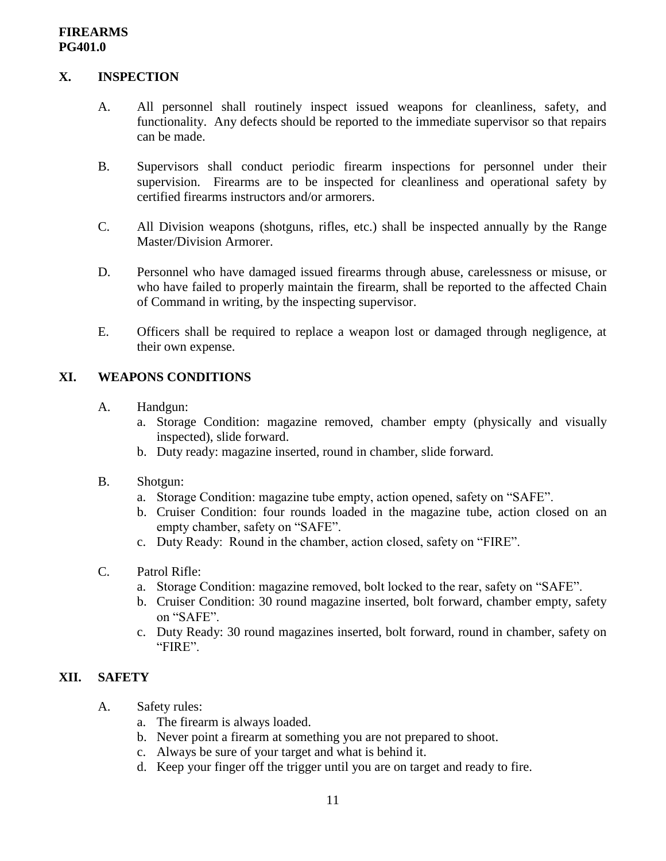## **X. INSPECTION**

- A. All personnel shall routinely inspect issued weapons for cleanliness, safety, and functionality. Any defects should be reported to the immediate supervisor so that repairs can be made.
- B. Supervisors shall conduct periodic firearm inspections for personnel under their supervision. Firearms are to be inspected for cleanliness and operational safety by certified firearms instructors and/or armorers.
- C. All Division weapons (shotguns, rifles, etc.) shall be inspected annually by the Range Master/Division Armorer.
- D. Personnel who have damaged issued firearms through abuse, carelessness or misuse, or who have failed to properly maintain the firearm, shall be reported to the affected Chain of Command in writing, by the inspecting supervisor.
- E. Officers shall be required to replace a weapon lost or damaged through negligence, at their own expense.

## **XI. WEAPONS CONDITIONS**

- A. Handgun:
	- a. Storage Condition: magazine removed, chamber empty (physically and visually inspected), slide forward.
	- b. Duty ready: magazine inserted, round in chamber, slide forward.
- B. Shotgun:
	- a. Storage Condition: magazine tube empty, action opened, safety on "SAFE".
	- b. Cruiser Condition: four rounds loaded in the magazine tube, action closed on an empty chamber, safety on "SAFE".
	- c. Duty Ready: Round in the chamber, action closed, safety on "FIRE".
- C. Patrol Rifle:
	- a. Storage Condition: magazine removed, bolt locked to the rear, safety on "SAFE".
	- b. Cruiser Condition: 30 round magazine inserted, bolt forward, chamber empty, safety on "SAFE".
	- c. Duty Ready: 30 round magazines inserted, bolt forward, round in chamber, safety on "FIRE".

# **XII. SAFETY**

- A. Safety rules:
	- a. The firearm is always loaded.
	- b. Never point a firearm at something you are not prepared to shoot.
	- c. Always be sure of your target and what is behind it.
	- d. Keep your finger off the trigger until you are on target and ready to fire.